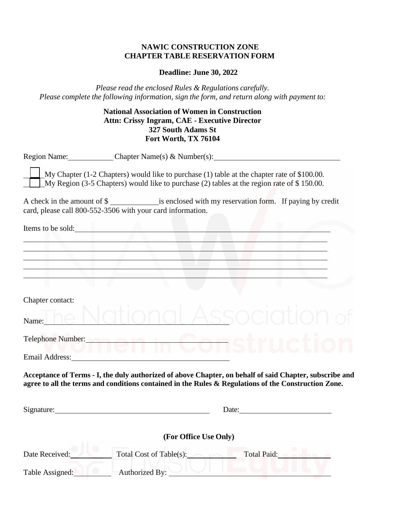## **NAWIC CONSTRUCTION ZONE CHAPTER TABLE RESERVATION FORM**

#### **Deadline: June 30, 2022**

*Please read the enclosed Rules & Regulations carefully. Please complete the following information, sign the form, and return along with payment to:*

# **National Association of Women in Construction Attn: Crissy Ingram, CAE - Executive Director 327 South Adams St Fort Worth, TX 76104**

|                  | Region Name: Chapter Name(s) & Number(s):                                                                                                                                                                                      |
|------------------|--------------------------------------------------------------------------------------------------------------------------------------------------------------------------------------------------------------------------------|
|                  | My Chapter $(1-2)$ Chapters) would like to purchase $(1)$ table at the chapter rate of \$100.00.<br>My Region (3-5 Chapters) would like to purchase (2) tables at the region rate of $$ 150.00$ .                              |
|                  | A check in the amount of \$<br>card, please call 800-552-3506 with your card information.                                                                                                                                      |
|                  | Items to be sold:                                                                                                                                                                                                              |
|                  |                                                                                                                                                                                                                                |
|                  |                                                                                                                                                                                                                                |
| Chapter contact: |                                                                                                                                                                                                                                |
| Name:            | SSC                                                                                                                                                                                                                            |
| VIIGI            | Telephone Number:                                                                                                                                                                                                              |
|                  | Email Address: No. 1996. The Contract of the Contract of the Contract of the Contract of the Contract of the Contract of the Contract of the Contract of the Contract of the Contract of the Contract of the Contract of the C |
|                  | Acceptance of Terms - I, the duly authorized of above Chapter, on behalf of said Chapter, subscribe and<br>agree to all the terms and conditions contained in the Rules & Regulations of the Construction Zone.                |
| Signature:       | Date: <u>Date:</u>                                                                                                                                                                                                             |
|                  | (For Office Use Only)                                                                                                                                                                                                          |
| Date Received:   | Total Cost of Table(s):<br>Total Paid:                                                                                                                                                                                         |
| Table Assigned:  | Authorized By:                                                                                                                                                                                                                 |